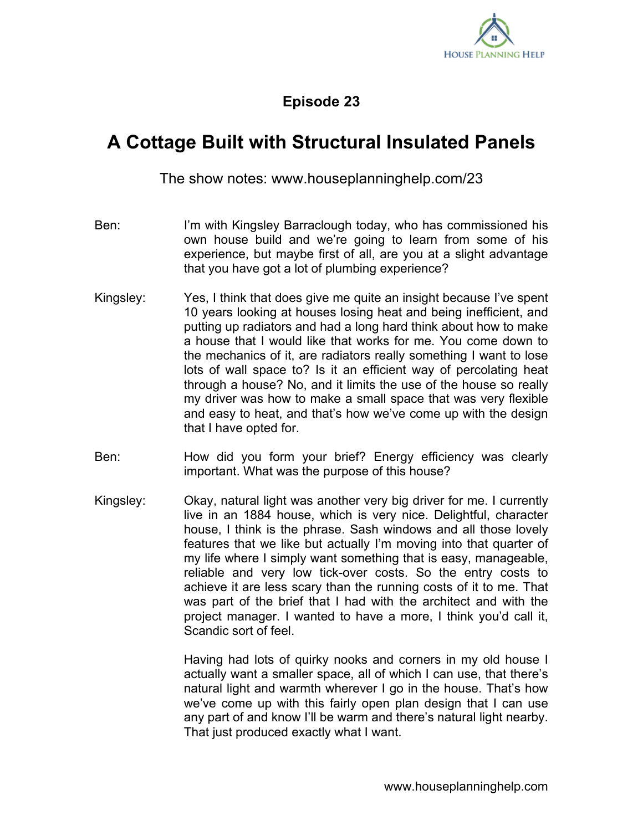

## **Episode 23**

## **A Cottage Built with Structural Insulated Panels**

The show notes: www.houseplanninghelp.com/23

- Ben: I'm with Kingsley Barraclough today, who has commissioned his own house build and we're going to learn from some of his experience, but maybe first of all, are you at a slight advantage that you have got a lot of plumbing experience?
- Kingsley: Yes, I think that does give me quite an insight because I've spent 10 years looking at houses losing heat and being inefficient, and putting up radiators and had a long hard think about how to make a house that I would like that works for me. You come down to the mechanics of it, are radiators really something I want to lose lots of wall space to? Is it an efficient way of percolating heat through a house? No, and it limits the use of the house so really my driver was how to make a small space that was very flexible and easy to heat, and that's how we've come up with the design that I have opted for.
- Ben: How did you form your brief? Energy efficiency was clearly important. What was the purpose of this house?
- Kingsley: Okay, natural light was another very big driver for me. I currently live in an 1884 house, which is very nice. Delightful, character house, I think is the phrase. Sash windows and all those lovely features that we like but actually I'm moving into that quarter of my life where I simply want something that is easy, manageable, reliable and very low tick-over costs. So the entry costs to achieve it are less scary than the running costs of it to me. That was part of the brief that I had with the architect and with the project manager. I wanted to have a more, I think you'd call it, Scandic sort of feel.

Having had lots of quirky nooks and corners in my old house I actually want a smaller space, all of which I can use, that there's natural light and warmth wherever I go in the house. That's how we've come up with this fairly open plan design that I can use any part of and know I'll be warm and there's natural light nearby. That just produced exactly what I want.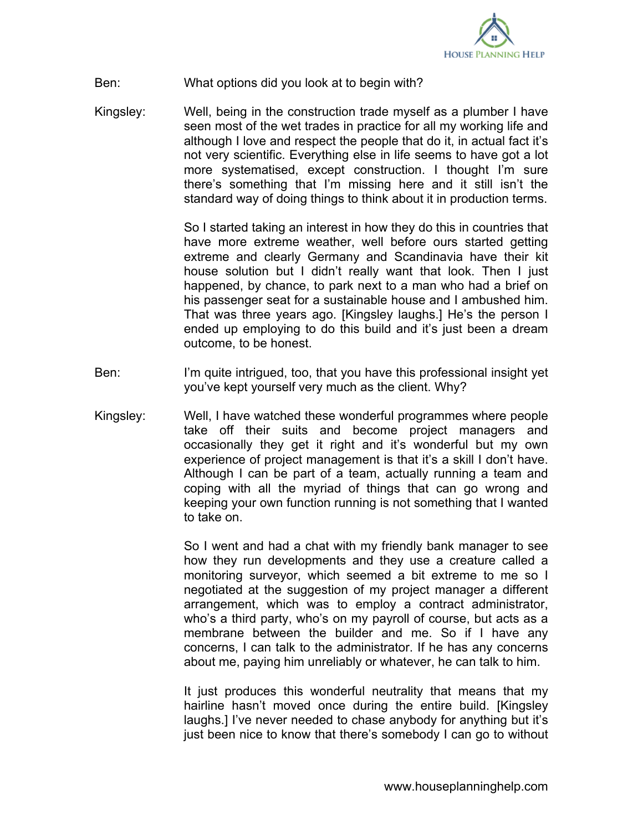

## Ben: What options did you look at to begin with?

Kingsley: Well, being in the construction trade myself as a plumber I have seen most of the wet trades in practice for all my working life and although I love and respect the people that do it, in actual fact it's not very scientific. Everything else in life seems to have got a lot more systematised, except construction. I thought I'm sure there's something that I'm missing here and it still isn't the standard way of doing things to think about it in production terms.

> So I started taking an interest in how they do this in countries that have more extreme weather, well before ours started getting extreme and clearly Germany and Scandinavia have their kit house solution but I didn't really want that look. Then I just happened, by chance, to park next to a man who had a brief on his passenger seat for a sustainable house and I ambushed him. That was three years ago. [Kingsley laughs.] He's the person I ended up employing to do this build and it's just been a dream outcome, to be honest.

- Ben: I'm quite intrigued, too, that you have this professional insight yet you've kept yourself very much as the client. Why?
- Kingsley: Well, I have watched these wonderful programmes where people take off their suits and become project managers and occasionally they get it right and it's wonderful but my own experience of project management is that it's a skill I don't have. Although I can be part of a team, actually running a team and coping with all the myriad of things that can go wrong and keeping your own function running is not something that I wanted to take on.

So I went and had a chat with my friendly bank manager to see how they run developments and they use a creature called a monitoring surveyor, which seemed a bit extreme to me so I negotiated at the suggestion of my project manager a different arrangement, which was to employ a contract administrator, who's a third party, who's on my payroll of course, but acts as a membrane between the builder and me. So if I have any concerns, I can talk to the administrator. If he has any concerns about me, paying him unreliably or whatever, he can talk to him.

It just produces this wonderful neutrality that means that my hairline hasn't moved once during the entire build. [Kingsley laughs.] I've never needed to chase anybody for anything but it's just been nice to know that there's somebody I can go to without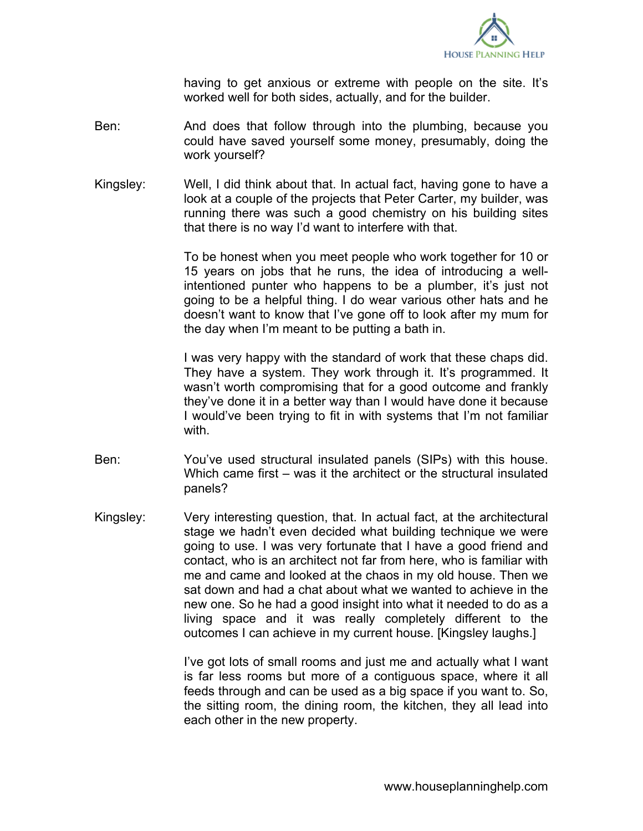

having to get anxious or extreme with people on the site. It's worked well for both sides, actually, and for the builder.

- Ben: And does that follow through into the plumbing, because you could have saved yourself some money, presumably, doing the work yourself?
- Kingsley: Well, I did think about that. In actual fact, having gone to have a look at a couple of the projects that Peter Carter, my builder, was running there was such a good chemistry on his building sites that there is no way I'd want to interfere with that.

To be honest when you meet people who work together for 10 or 15 years on jobs that he runs, the idea of introducing a wellintentioned punter who happens to be a plumber, it's just not going to be a helpful thing. I do wear various other hats and he doesn't want to know that I've gone off to look after my mum for the day when I'm meant to be putting a bath in.

I was very happy with the standard of work that these chaps did. They have a system. They work through it. It's programmed. It wasn't worth compromising that for a good outcome and frankly they've done it in a better way than I would have done it because I would've been trying to fit in with systems that I'm not familiar with

- Ben: You've used structural insulated panels (SIPs) with this house. Which came first – was it the architect or the structural insulated panels?
- Kingsley: Very interesting question, that. In actual fact, at the architectural stage we hadn't even decided what building technique we were going to use. I was very fortunate that I have a good friend and contact, who is an architect not far from here, who is familiar with me and came and looked at the chaos in my old house. Then we sat down and had a chat about what we wanted to achieve in the new one. So he had a good insight into what it needed to do as a living space and it was really completely different to the outcomes I can achieve in my current house. [Kingsley laughs.]

I've got lots of small rooms and just me and actually what I want is far less rooms but more of a contiguous space, where it all feeds through and can be used as a big space if you want to. So, the sitting room, the dining room, the kitchen, they all lead into each other in the new property.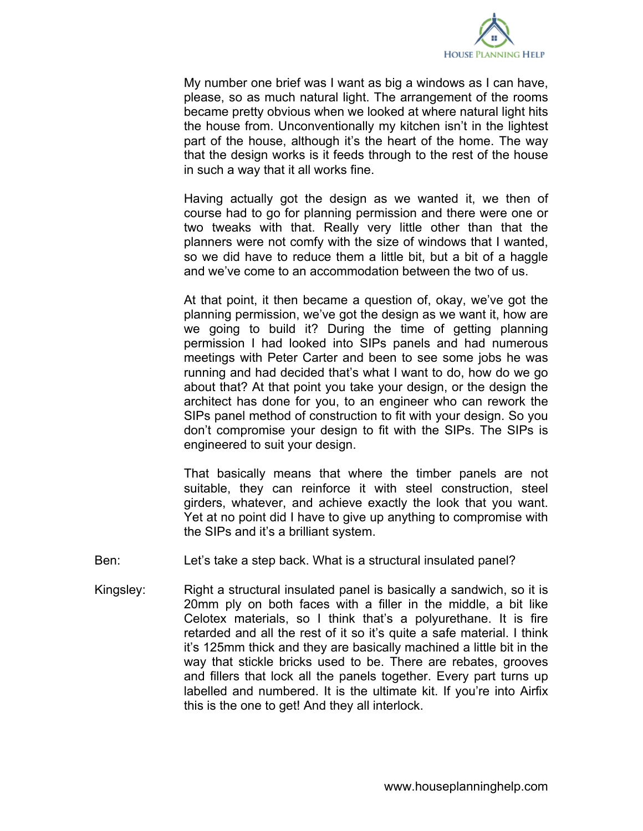

My number one brief was I want as big a windows as I can have, please, so as much natural light. The arrangement of the rooms became pretty obvious when we looked at where natural light hits the house from. Unconventionally my kitchen isn't in the lightest part of the house, although it's the heart of the home. The way that the design works is it feeds through to the rest of the house in such a way that it all works fine.

Having actually got the design as we wanted it, we then of course had to go for planning permission and there were one or two tweaks with that. Really very little other than that the planners were not comfy with the size of windows that I wanted, so we did have to reduce them a little bit, but a bit of a haggle and we've come to an accommodation between the two of us.

At that point, it then became a question of, okay, we've got the planning permission, we've got the design as we want it, how are we going to build it? During the time of getting planning permission I had looked into SIPs panels and had numerous meetings with Peter Carter and been to see some jobs he was running and had decided that's what I want to do, how do we go about that? At that point you take your design, or the design the architect has done for you, to an engineer who can rework the SIPs panel method of construction to fit with your design. So you don't compromise your design to fit with the SIPs. The SIPs is engineered to suit your design.

That basically means that where the timber panels are not suitable, they can reinforce it with steel construction, steel girders, whatever, and achieve exactly the look that you want. Yet at no point did I have to give up anything to compromise with the SIPs and it's a brilliant system.

- Ben: Let's take a step back. What is a structural insulated panel?
- Kingsley: Right a structural insulated panel is basically a sandwich, so it is 20mm ply on both faces with a filler in the middle, a bit like Celotex materials, so I think that's a polyurethane. It is fire retarded and all the rest of it so it's quite a safe material. I think it's 125mm thick and they are basically machined a little bit in the way that stickle bricks used to be. There are rebates, grooves and fillers that lock all the panels together. Every part turns up labelled and numbered. It is the ultimate kit. If you're into Airfix this is the one to get! And they all interlock.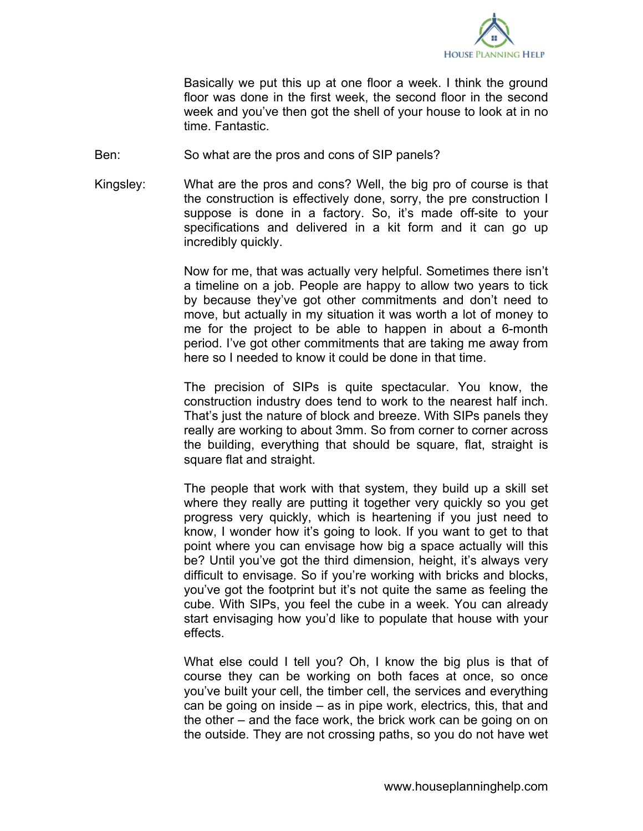

Basically we put this up at one floor a week. I think the ground floor was done in the first week, the second floor in the second week and you've then got the shell of your house to look at in no time. Fantastic.

- Ben: So what are the pros and cons of SIP panels?
- Kingsley: What are the pros and cons? Well, the big pro of course is that the construction is effectively done, sorry, the pre construction I suppose is done in a factory. So, it's made off-site to your specifications and delivered in a kit form and it can go up incredibly quickly.

Now for me, that was actually very helpful. Sometimes there isn't a timeline on a job. People are happy to allow two years to tick by because they've got other commitments and don't need to move, but actually in my situation it was worth a lot of money to me for the project to be able to happen in about a 6-month period. I've got other commitments that are taking me away from here so I needed to know it could be done in that time.

The precision of SIPs is quite spectacular. You know, the construction industry does tend to work to the nearest half inch. That's just the nature of block and breeze. With SIPs panels they really are working to about 3mm. So from corner to corner across the building, everything that should be square, flat, straight is square flat and straight.

The people that work with that system, they build up a skill set where they really are putting it together very quickly so you get progress very quickly, which is heartening if you just need to know, I wonder how it's going to look. If you want to get to that point where you can envisage how big a space actually will this be? Until you've got the third dimension, height, it's always very difficult to envisage. So if you're working with bricks and blocks, you've got the footprint but it's not quite the same as feeling the cube. With SIPs, you feel the cube in a week. You can already start envisaging how you'd like to populate that house with your effects.

What else could I tell you? Oh, I know the big plus is that of course they can be working on both faces at once, so once you've built your cell, the timber cell, the services and everything can be going on inside – as in pipe work, electrics, this, that and the other – and the face work, the brick work can be going on on the outside. They are not crossing paths, so you do not have wet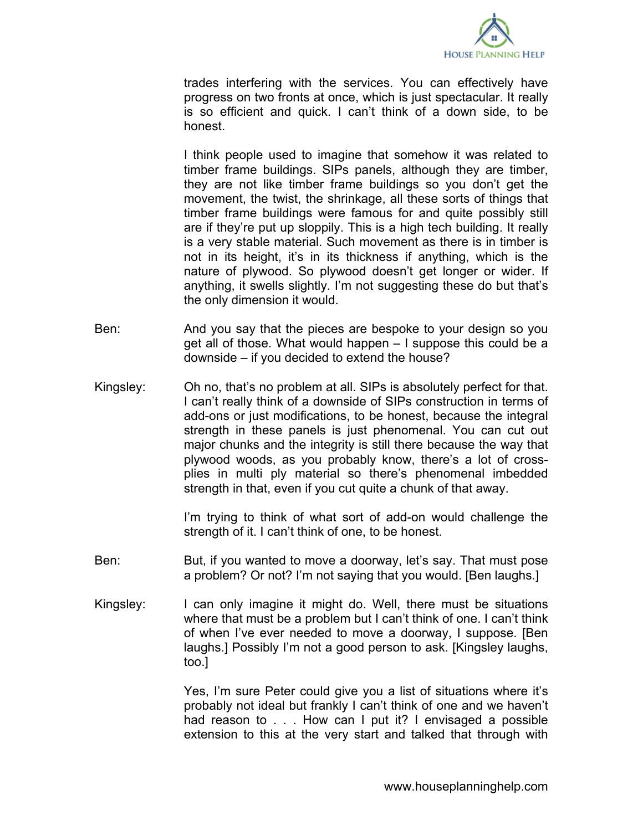

trades interfering with the services. You can effectively have progress on two fronts at once, which is just spectacular. It really is so efficient and quick. I can't think of a down side, to be honest.

I think people used to imagine that somehow it was related to timber frame buildings. SIPs panels, although they are timber, they are not like timber frame buildings so you don't get the movement, the twist, the shrinkage, all these sorts of things that timber frame buildings were famous for and quite possibly still are if they're put up sloppily. This is a high tech building. It really is a very stable material. Such movement as there is in timber is not in its height, it's in its thickness if anything, which is the nature of plywood. So plywood doesn't get longer or wider. If anything, it swells slightly. I'm not suggesting these do but that's the only dimension it would.

- Ben: And you say that the pieces are bespoke to your design so you get all of those. What would happen – I suppose this could be a downside – if you decided to extend the house?
- Kingsley: Oh no, that's no problem at all. SIPs is absolutely perfect for that. I can't really think of a downside of SIPs construction in terms of add-ons or just modifications, to be honest, because the integral strength in these panels is just phenomenal. You can cut out major chunks and the integrity is still there because the way that plywood woods, as you probably know, there's a lot of crossplies in multi ply material so there's phenomenal imbedded strength in that, even if you cut quite a chunk of that away.

I'm trying to think of what sort of add-on would challenge the strength of it. I can't think of one, to be honest.

- Ben: But, if you wanted to move a doorway, let's say. That must pose a problem? Or not? I'm not saying that you would. [Ben laughs.]
- Kingsley: I can only imagine it might do. Well, there must be situations where that must be a problem but I can't think of one. I can't think of when I've ever needed to move a doorway, I suppose. [Ben laughs.] Possibly I'm not a good person to ask. [Kingsley laughs, too.]

Yes, I'm sure Peter could give you a list of situations where it's probably not ideal but frankly I can't think of one and we haven't had reason to . . . How can I put it? I envisaged a possible extension to this at the very start and talked that through with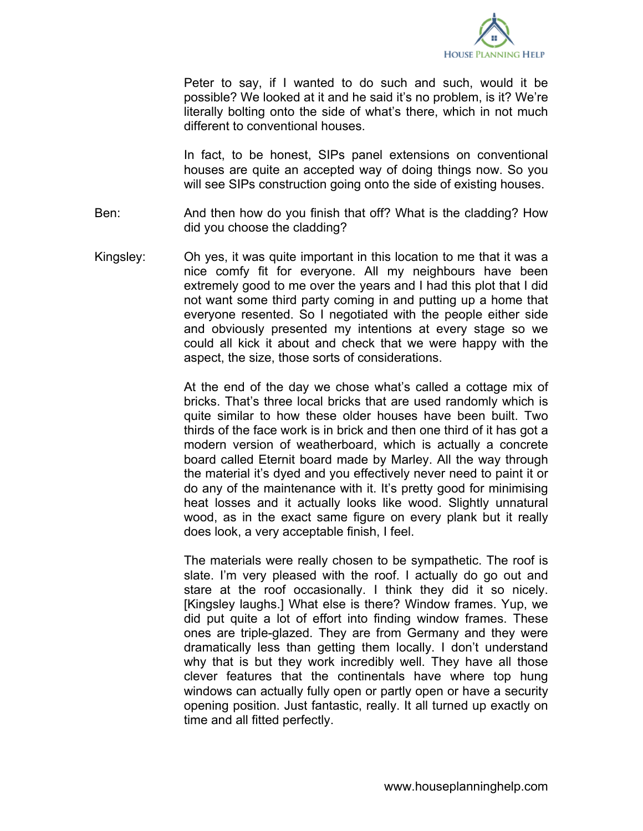

Peter to say, if I wanted to do such and such, would it be possible? We looked at it and he said it's no problem, is it? We're literally bolting onto the side of what's there, which in not much different to conventional houses.

In fact, to be honest, SIPs panel extensions on conventional houses are quite an accepted way of doing things now. So you will see SIPs construction going onto the side of existing houses.

- Ben: And then how do you finish that off? What is the cladding? How did you choose the cladding?
- Kingsley: Oh yes, it was quite important in this location to me that it was a nice comfy fit for everyone. All my neighbours have been extremely good to me over the years and I had this plot that I did not want some third party coming in and putting up a home that everyone resented. So I negotiated with the people either side and obviously presented my intentions at every stage so we could all kick it about and check that we were happy with the aspect, the size, those sorts of considerations.

At the end of the day we chose what's called a cottage mix of bricks. That's three local bricks that are used randomly which is quite similar to how these older houses have been built. Two thirds of the face work is in brick and then one third of it has got a modern version of weatherboard, which is actually a concrete board called Eternit board made by Marley. All the way through the material it's dyed and you effectively never need to paint it or do any of the maintenance with it. It's pretty good for minimising heat losses and it actually looks like wood. Slightly unnatural wood, as in the exact same figure on every plank but it really does look, a very acceptable finish, I feel.

The materials were really chosen to be sympathetic. The roof is slate. I'm very pleased with the roof. I actually do go out and stare at the roof occasionally. I think they did it so nicely. [Kingsley laughs.] What else is there? Window frames. Yup, we did put quite a lot of effort into finding window frames. These ones are triple-glazed. They are from Germany and they were dramatically less than getting them locally. I don't understand why that is but they work incredibly well. They have all those clever features that the continentals have where top hung windows can actually fully open or partly open or have a security opening position. Just fantastic, really. It all turned up exactly on time and all fitted perfectly.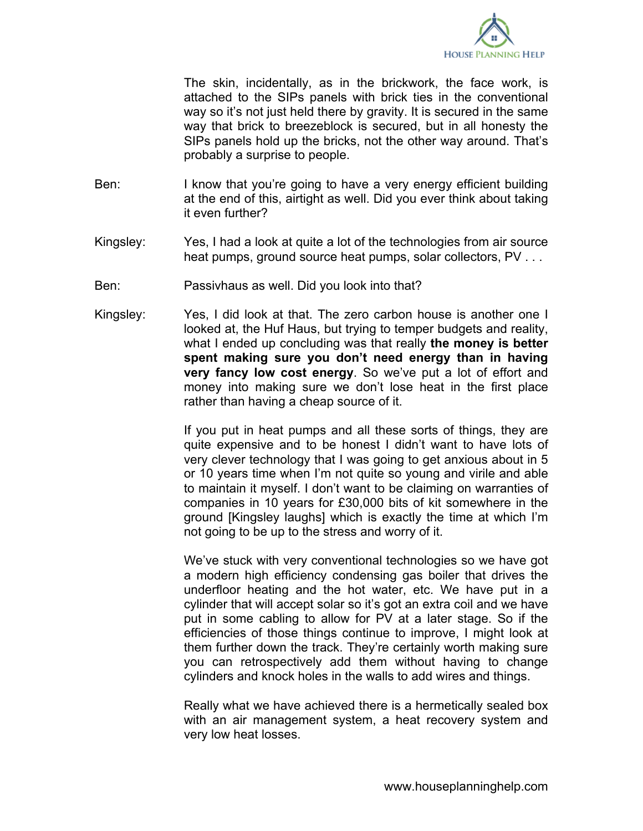

The skin, incidentally, as in the brickwork, the face work, is attached to the SIPs panels with brick ties in the conventional way so it's not just held there by gravity. It is secured in the same way that brick to breezeblock is secured, but in all honesty the SIPs panels hold up the bricks, not the other way around. That's probably a surprise to people.

- Ben: I know that you're going to have a very energy efficient building at the end of this, airtight as well. Did you ever think about taking it even further?
- Kingsley: Yes, I had a look at quite a lot of the technologies from air source heat pumps, ground source heat pumps, solar collectors, PV . . .
- Ben: Passivhaus as well. Did you look into that?
- Kingsley: Yes, I did look at that. The zero carbon house is another one I looked at, the Huf Haus, but trying to temper budgets and reality, what I ended up concluding was that really **the money is better spent making sure you don't need energy than in having very fancy low cost energy**. So we've put a lot of effort and money into making sure we don't lose heat in the first place rather than having a cheap source of it.

If you put in heat pumps and all these sorts of things, they are quite expensive and to be honest I didn't want to have lots of very clever technology that I was going to get anxious about in 5 or 10 years time when I'm not quite so young and virile and able to maintain it myself. I don't want to be claiming on warranties of companies in 10 years for £30,000 bits of kit somewhere in the ground [Kingsley laughs] which is exactly the time at which I'm not going to be up to the stress and worry of it.

We've stuck with very conventional technologies so we have got a modern high efficiency condensing gas boiler that drives the underfloor heating and the hot water, etc. We have put in a cylinder that will accept solar so it's got an extra coil and we have put in some cabling to allow for PV at a later stage. So if the efficiencies of those things continue to improve, I might look at them further down the track. They're certainly worth making sure you can retrospectively add them without having to change cylinders and knock holes in the walls to add wires and things.

Really what we have achieved there is a hermetically sealed box with an air management system, a heat recovery system and very low heat losses.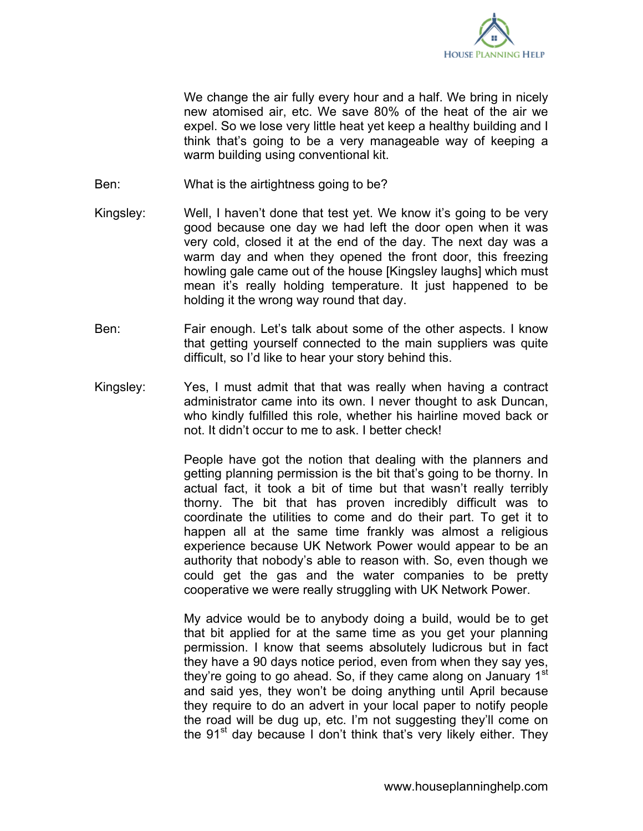

We change the air fully every hour and a half. We bring in nicely new atomised air, etc. We save 80% of the heat of the air we expel. So we lose very little heat yet keep a healthy building and I think that's going to be a very manageable way of keeping a warm building using conventional kit.

- Ben: What is the airtightness going to be?
- Kingsley: Well, I haven't done that test yet. We know it's going to be very good because one day we had left the door open when it was very cold, closed it at the end of the day. The next day was a warm day and when they opened the front door, this freezing howling gale came out of the house [Kingsley laughs] which must mean it's really holding temperature. It just happened to be holding it the wrong way round that day.
- Ben: Fair enough. Let's talk about some of the other aspects. I know that getting yourself connected to the main suppliers was quite difficult, so I'd like to hear your story behind this.
- Kingsley: Yes, I must admit that that was really when having a contract administrator came into its own. I never thought to ask Duncan, who kindly fulfilled this role, whether his hairline moved back or not. It didn't occur to me to ask. I better check!

People have got the notion that dealing with the planners and getting planning permission is the bit that's going to be thorny. In actual fact, it took a bit of time but that wasn't really terribly thorny. The bit that has proven incredibly difficult was to coordinate the utilities to come and do their part. To get it to happen all at the same time frankly was almost a religious experience because UK Network Power would appear to be an authority that nobody's able to reason with. So, even though we could get the gas and the water companies to be pretty cooperative we were really struggling with UK Network Power.

My advice would be to anybody doing a build, would be to get that bit applied for at the same time as you get your planning permission. I know that seems absolutely ludicrous but in fact they have a 90 days notice period, even from when they say yes, they're going to go ahead. So, if they came along on January 1<sup>st</sup> and said yes, they won't be doing anything until April because they require to do an advert in your local paper to notify people the road will be dug up, etc. I'm not suggesting they'll come on the 91<sup>st</sup> day because I don't think that's very likely either. They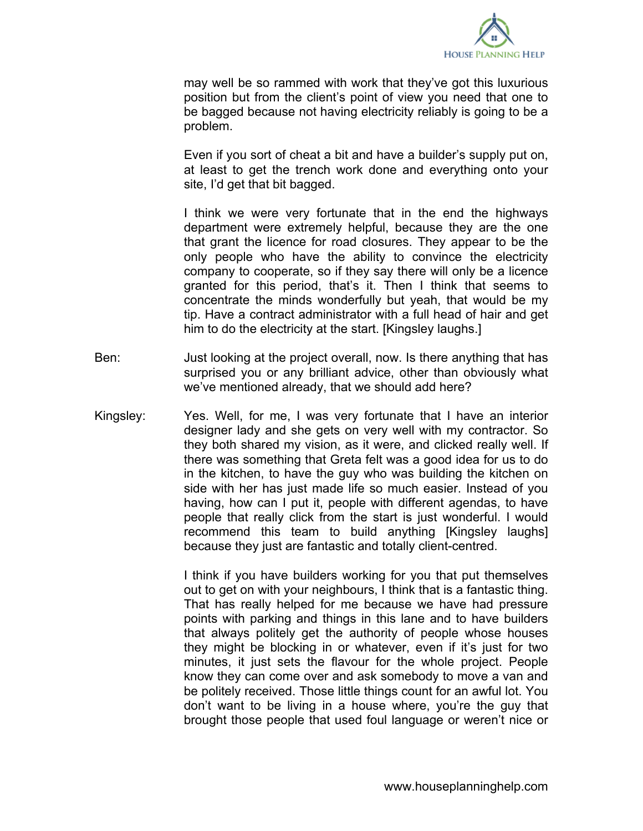

may well be so rammed with work that they've got this luxurious position but from the client's point of view you need that one to be bagged because not having electricity reliably is going to be a problem.

Even if you sort of cheat a bit and have a builder's supply put on, at least to get the trench work done and everything onto your site, I'd get that bit bagged.

I think we were very fortunate that in the end the highways department were extremely helpful, because they are the one that grant the licence for road closures. They appear to be the only people who have the ability to convince the electricity company to cooperate, so if they say there will only be a licence granted for this period, that's it. Then I think that seems to concentrate the minds wonderfully but yeah, that would be my tip. Have a contract administrator with a full head of hair and get him to do the electricity at the start. [Kingsley laughs.]

- Ben: Just looking at the project overall, now. Is there anything that has surprised you or any brilliant advice, other than obviously what we've mentioned already, that we should add here?
- Kingsley: Yes. Well, for me, I was very fortunate that I have an interior designer lady and she gets on very well with my contractor. So they both shared my vision, as it were, and clicked really well. If there was something that Greta felt was a good idea for us to do in the kitchen, to have the guy who was building the kitchen on side with her has just made life so much easier. Instead of you having, how can I put it, people with different agendas, to have people that really click from the start is just wonderful. I would recommend this team to build anything [Kingsley laughs] because they just are fantastic and totally client-centred.

I think if you have builders working for you that put themselves out to get on with your neighbours, I think that is a fantastic thing. That has really helped for me because we have had pressure points with parking and things in this lane and to have builders that always politely get the authority of people whose houses they might be blocking in or whatever, even if it's just for two minutes, it just sets the flavour for the whole project. People know they can come over and ask somebody to move a van and be politely received. Those little things count for an awful lot. You don't want to be living in a house where, you're the guy that brought those people that used foul language or weren't nice or